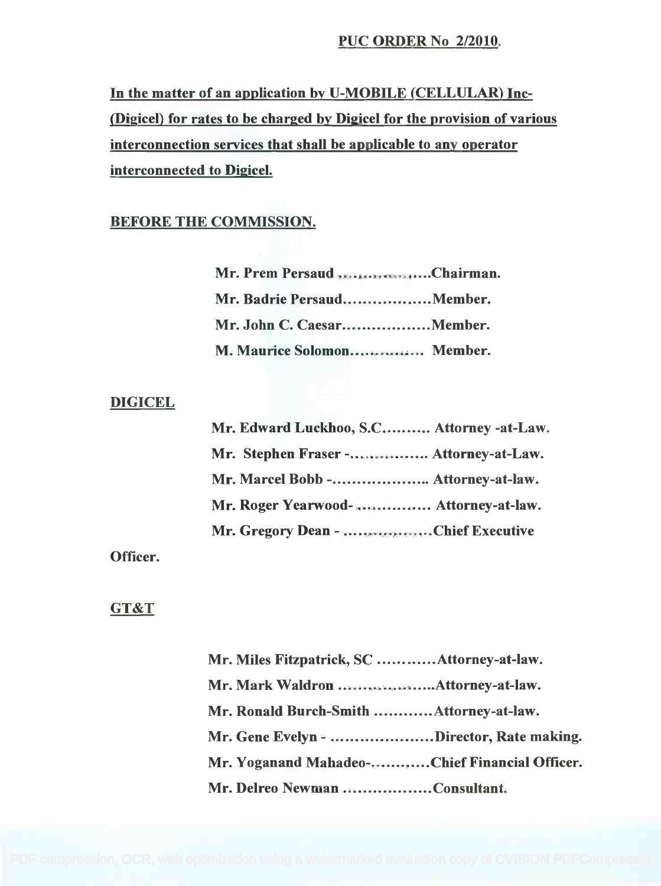## PUC ORDER No 2/2010.

In the matter of an application by U-MOBILE (CELLULAR) Inc-(Digicel) for rates to be charged by Digicel for the provision of various (Digicel) for rates to be charged by Digicel for the provision of various interconnection services that shall be applicable to any operator interconnection services that shall be applicable to any operator interconnected to Digicel. interconnected to Digicel.

# BEFORE THE COMMISSION.

| Mr. Prem Persaud 250.66.00 SecondChairman. |  |
|--------------------------------------------|--|
| Mr. Badrie PersaudMember.                  |  |
| Mr. John C. CaesarMember.                  |  |
| M. Maurice Solomon Member.                 |  |

### **DIGICEL**

| Mr. Edward Luckhoo, S.C Attorney -at-Law. |
|-------------------------------------------|
| Mr. Stephen Fraser - Attorney-at-Law.     |
| Mr. Marcel Bobb - Attorney-at-law.        |
| Mr. Roger Yearwood-  Attorney-at-law.     |
| Mr. Gregory Dean - Chief Executive        |

Officer.

### GT&T

| Mr. Miles Fitzpatrick, SC Attorney-at-law.    |  |
|-----------------------------------------------|--|
|                                               |  |
| Mr. Ronald Burch-Smith Attorney-at-law.       |  |
| Mr. Gene Evelyn - Director, Rate making.      |  |
| Mr. Yoganand Mahadeo-Chief Financial Officer. |  |
| Mr. Delreo Newman Consultant.                 |  |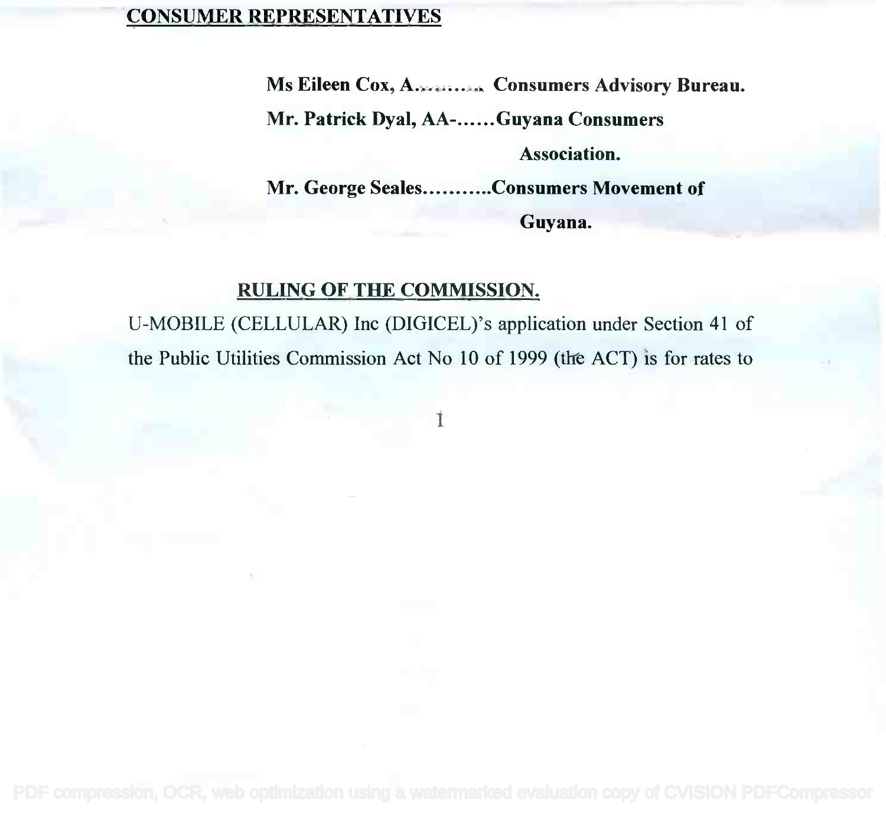## CONSUMER REPRESENTATIVES

Ms Eileen Cox, A. 2008......... Consumers Advisory Bureau.

Mr. Patrick Dyal, AA-......Guyana Consumers

#### Association. Association.

Mr. George Seales...........Consumers Movement of

Guyana. Guyana.

### RULING OF THE COMMISSION. RULING OF THE COMMISSION.

U-MOBILE (CELLULAR) Inc (DIGICEL)'s application under Section 41 of U-MOBILE (CELLULAR) Inc (DIGICEL)'s application under Section 41 of the Public Utilities Commission Act No 10 of 1999 (the ACT) is for rates to the Public Utilities Commission Act No 10 of 1999 (the ACT) is for rates to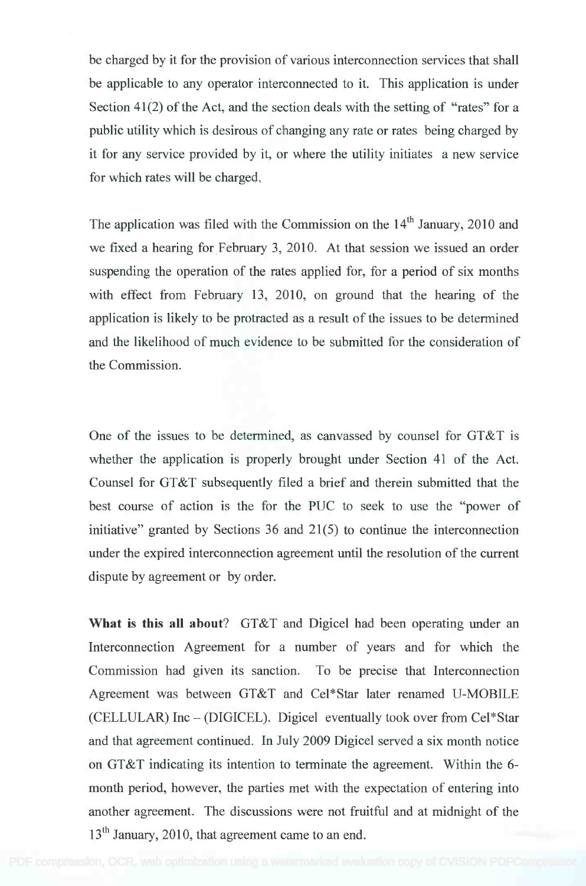be charged by it for the provision of various interconnection services that shall be charged by it for the provision of various interconnection services that shall be applicable to any operator interconnected to it. This application is under be applicable to any operator interconnected to it. This application is under Section 41(2) of the Act, and the section deals with the setting of "rates" for a Section 41(2) of the Act, and the section deals with the setting of "rates" for a public utility which is desirous of changing any rate or rates being charged by public utility which is desirous of changing any rate or rates being charged by it for any service provided by it, or where the utility initiates a new service for which rates will be charged. for which rates will be charged.

The application was filed with the Commission on the 14<sup>th</sup> January, 2010 and we fixed a hearing for February 3, 2010. At that session we issued an order suspending the operation of the rates applied for, for a period of six months suspending the operation of the rates applied for, for a period of six months with effect from February 13, 2010, on ground that the hearing of the with effect from February 13, 2010, on ground that the hearing of the application is likely to be protracted as a result of the issues to be determined application is likely to be protracted as a result of the issues to be determined and the likelihood of much evidence to be submitted for the consideration of and the likelihood of much evidence to be submitted for the consideration of the Commission. the Commission.

One of the issues to be determined, as canvassed by counsel for GT&T is One of the issues to be determined, as canvassed by counsel for GT&T is whether the application is properly brought under Section 41 of the Act. whether the application is properly brought under Section 41 of the Act. Counsel for GT&T subsequently filed a brief and therein submitted that the Counsel for GT&T subsequently filed a brief and therein submitted that the best course of action is the for the PUC to seek to use the "power of best course of action is the for the PUC to seek to use the "power of initiative" granted by Sections 36 and 21(5) to continue the interconnection under the expired interconnection agreement until the resolution of the current under the expired interconnection agreement until the resolution of the current dispute by agreement or by order. dispute by agreement or by order.

What is this all about? GT&T and Digicel had been operating under an **What is this all about?** GT&T and Digicel had been operating under an Interconnection Agreement for a number of years and for which the Interconnection Agreement for a number of years and for which the Commission had given its sanction. To be precise that Interconnection Commission had given its sanction. To be precise that Interconnection Agreement was between GT&T and Cel\*Star later renamed U-MOBILE Agreement was between GT&T and Cel\*Star later renamed U-MOBILE (CELLULAR) Inc – (DIGICEL). Digicel eventually took over from Cel\*Star and that agreement continued. In July 2009 Digicel served a six month notice and that agreement continued. In July 2009 Digicel served a six month notice on GT&T indicating its intention to terminate the agreement. Within the 6month period, however, the parties met with the expectation of entering into month period, however, the parties met with the expectation of entering into another agreement. The discussions were not fruitful and at midnight of the another agreement. The discussions were not fruitful and at midnight of the 13<sup>th</sup> January, 2010, that agreement came to an end.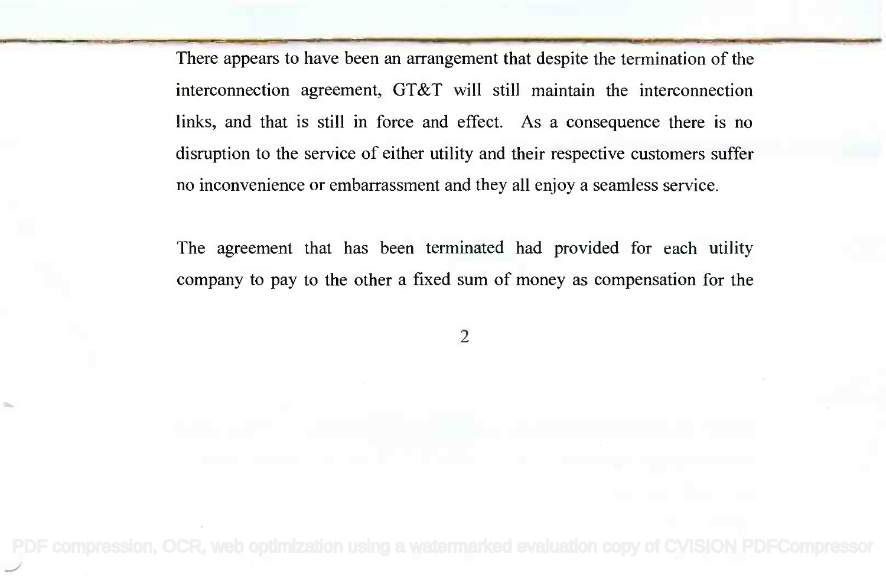There appears to have been an arrangement that despite the termination of the interconnection agreement, GT&T will still maintain the interconnection interconnection agreement, GT&T will still maintain the interconnection links, and that is still in force and effect. As a consequence there is no links, and that is still in force and effect. As a consequence there is no disruption to the service of either utility and their respective customers suffer disruption to the service of either utility and their respective customers suffer no inconvenience or embarrassment and they all enjoy a seamless service. no inconvenience or embarrassment and they all enjoy a seamless service.

The agreement that has been terminated had provided for each utility The agreement that has been terminated had provided for each utility company to pay to the other a fixed sum of money as compensation for the company to pay to the other a fixed sum of money as compensation for the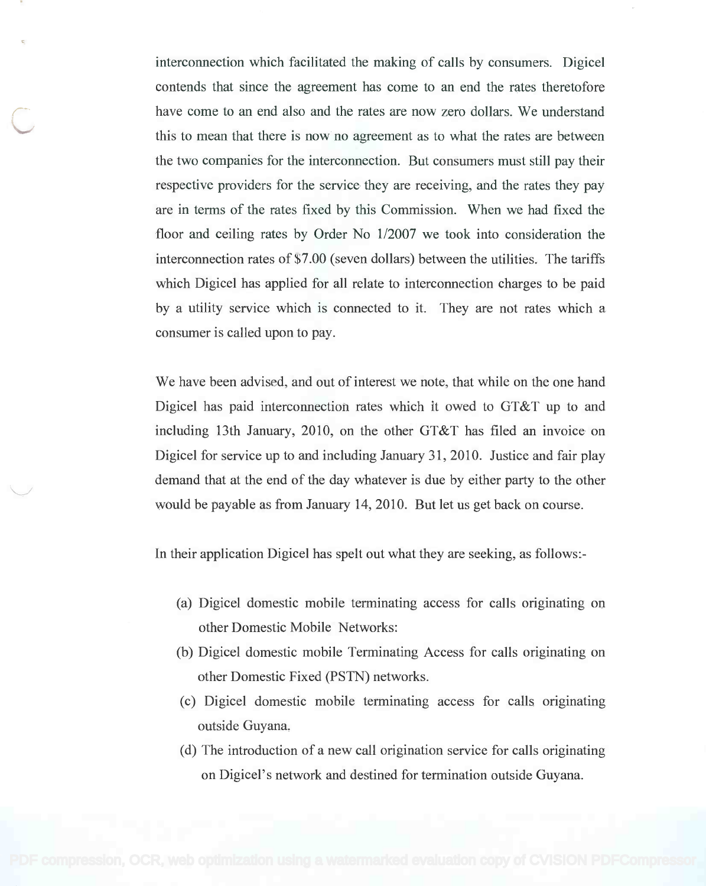interconnection which facilitated the making of calls by consumers. Digicel interconnection which facilitated the making of calls by consumers. Digicel contends that since the agreement has come to an end the rates theretofore contends that since the agreement has come to an end the rates theretofore have come to an end also and the rates are now zero dollars. We understand have come to an end also and the rates are now zero dollars. We understand this to mean that there is now no agreement as to what the rates are between the two companies for the interconnection. But consumers must still pay their the two companies for the interconnection. But consumers must still pay their respective providers for the service they are receiving, and the rates they pay respective providers for the service they are receiving, and the rates they pay are in terms of the rates fixed by this Commission. When we had fixed the are in terms of the rates fixed by this Commission. When we had fixed the floor and ceiling rates by Order No 1/2007 we took into consideration the floor and ceiling rates by Order No 112007 we took into consideration the interconnection rates of \$7.00 (seven dollars) between the utilities. The tariffs interconnection rates of\$7.00 (seven dollars) between the utilities. The tariffs which Digicel has applied for all relate to interconnection charges to be paid which Digicel has applied for all relate to interconnection charges to be paid by a utility service which is connected to it. They are not rates which a by a utility service which is connected to it. They are not rates which a consumer is called upon to pay. consumer is called upon to pay.

We have been advised, and out of interest we note, that while on the one hand We have been advised, and out of interest we note, that while on the one hand Digicel has paid interconnection rates which it owed to GT&T up to and Digicel has paid interconnection rates which it owed to GT&T up to and including 13th January, 2010, on the other GT&T has filed an invoice on including 13th January, 2010, on the other GT&T has filed an invoice on Digicel for service up to and including January 31, 2010. Justice and fair play Digicel for service up to and including January 31, 2010. Justice and fair play demand that at the end of the day whatever is due by either party to the other demand that at the end of the day whatever is due by either party to the other would be payable as from January 14, 2010. But let us get back on course. would be payable as from January 14,2010. But let us get back on course.

In their application Digicel has spelt out what they are seeking, as follows:-

- (a) Digicel domestic mobile terminating access for calls originating on (a) Digicel domestic mobile terminating access for calls originating on other Domestic Mobile Networks: other Domestic Mobile Networks:
- (b) Digicel domestic mobile Terminating Access for calls originating on (b) Digicel domestic mobile Terminating Access for calls originating on other Domestic Fixed (PSTN) networks. other Domestic Fixed (PSTN) networks.
- (c) Digicel domestic mobile terminating access for calls originating (c) Digicel domestic mobile terminating access for calls originating outside Guyana. outside Guyana.
- (d) The introduction of a new call origination service for calls originating (d) The introduction of a new call origination service for calls originating on Digicel's network and destined for termination outside Guyana. on Digicel' s network and destined for termination outside Guyana.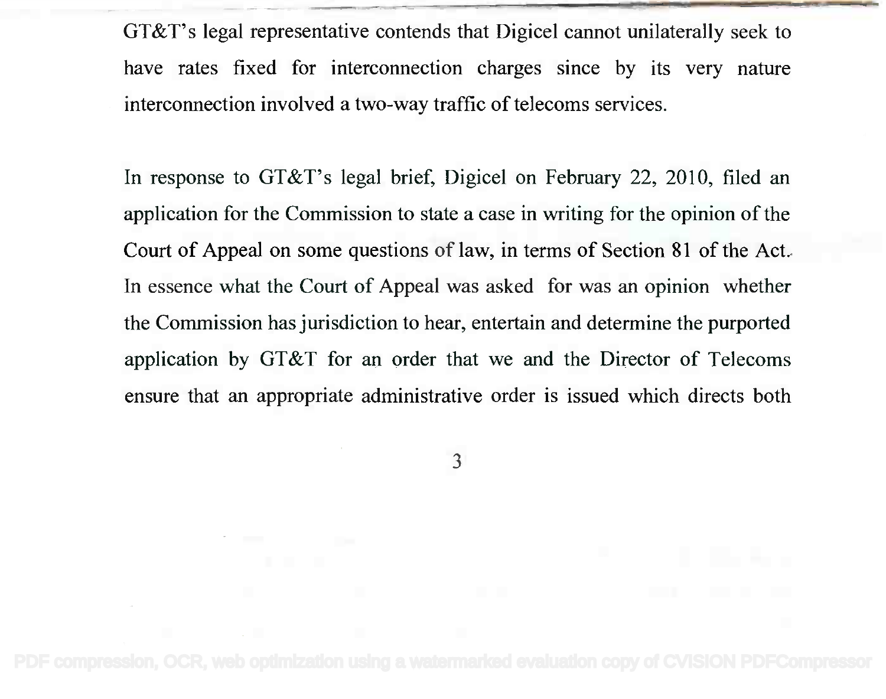GT&T's legal representative contends that Digicel cannot unilaterally seek to GT&T's legal representative contends that Digicel cannot unilaterally seek to have rates fixed for interconnection charges since by its very nature have rates fixed for interconnection charges since by its very nature interconnection involved a two-way traffic of telecoms services. interconnection involved a two-way traffic of telecoms services.

In response to GT&T's legal brief, Digicel on February 22, 2010, filed an In response to GT&T's legal brief, Digicel on February 22, 2010, filed an application for the Commission to state a case in writing for the opinion of the application for the Commission to state a case in writing for the opinion of the Court of Appeal on some questions of law, in terms of Section 81 of the Act. Court of Appeal on some questions of law, in terms of Section 81 of the Act. In essence what the Court of Appeal was asked for was an opinion whether In essence what the Court of Appeal was asked for was an opinion whether the Commission has jurisdiction to hear, entertain and determine the purported the Commission has jurisdiction to hear, entertain and determine the purported application by GT&T for an order that we and the Director of Telecoms application by GT&T for an order that we and the Director of Telecoms ensure that an appropriate administrative order is issued which directs both ensure that an appropriate administrative order is issued which directs both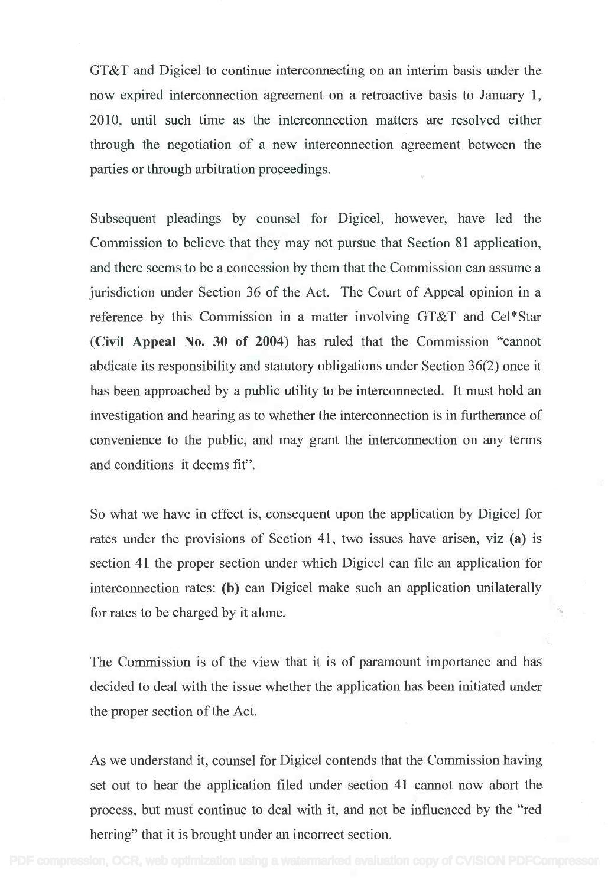GT&T and Digicel to continue interconnecting on an interim basis under the GT&T and Digicel to continue interconnecting on an interim basis under the now expired interconnection agreement on a retroactive basis to January 1, now expired interconnection agreement on a retroactive basis to January 1, 2010, until such time as the interconnection matters are resolved either 2010, until such time as the interconnection matters are resolved either through the negotiation of a new interconnection agreement between the through the negotiation of a new interconnection agreement between the parties or through arbitration proceedings. parties or through arbitration proceedings.

Subsequent pleadings by counsel for Digicel, however, have led the Subsequent pleadings by counsel for Digicel, however, have led the Commission to believe that they may not pursue that Section 81 application, Commission to believe that they may not pursue that Section 81 application, and there seems to be a concession by them that the Commission can assume a and there seems to be a concession by them that the Commission can assume a jurisdiction under Section 36 of the Act. The Court of Appeal opinion in a jurisdiction under Section 36 of the Act. The Court of Appeal opinion in a reference by this Commission in a matter involving GT&T and Cel\*Star reference by this Commission in a matter involving GT&T and Cel\*Star (Civil Appeal No. 30 of 2004) has ruled that the Commission "cannot (Civil Appeal No. 30 of 2004) has ruled that the Commission "cannot abdicate its responsibility and statutory obligations under Section 36(2) once it abdicate its responsibility and statutory obligations under Section 36(2) once it has been approached by a public utility to be interconnected. It must hold an has been approached by a public utility to be interconnected. It must hold an investigation and hearing as to whether the interconnection is in furtherance of investigation and hearing as to whether the interconnection is in furtherance of convenience to the public, and may grant the interconnection on any terms convenience to the public, and may grant the interconnection on any terms and conditions it deems fit". and conditions it deems fit".

So what we have in effect is, consequent upon the application by Digicel for So what we have in effect is, consequent upon the application by Digicel for rates under the provisions of Section 41, two issues have arisen, viz (a) is section 41 the proper section under which Digicel can file an application for section 41 the proper section under which Digicel can file an application for interconnection rates: (b) can Digicel make such an application unilaterally interconnection rates: (b) can Digicel make such an application unilaterally for rates to be charged by it alone. for rates to be charged by it alone.

The Commission is of the view that it is of paramount importance and has The Commission is of the view that it is of paramount importance and has decided to deal with the issue whether the application has been initiated under decided to deal with the issue whether the application has been initiated under the proper section of the Act. the proper section of the Act.

As we understand it, counsel for Digicel contends that the Commission having As we understand it, counsel for Digicel contends that the Commission having set out to hear the application filed under section 41 cannot now abort the set out to hear the application filed under section 41 cannot now abort the process, but must continue to deal with it, and not be influenced by the "red process, but must continue to deal with it, and not be influenced by the "red herring" that it is brought under an incorrect section. herring" that it is brought under an incorrect section.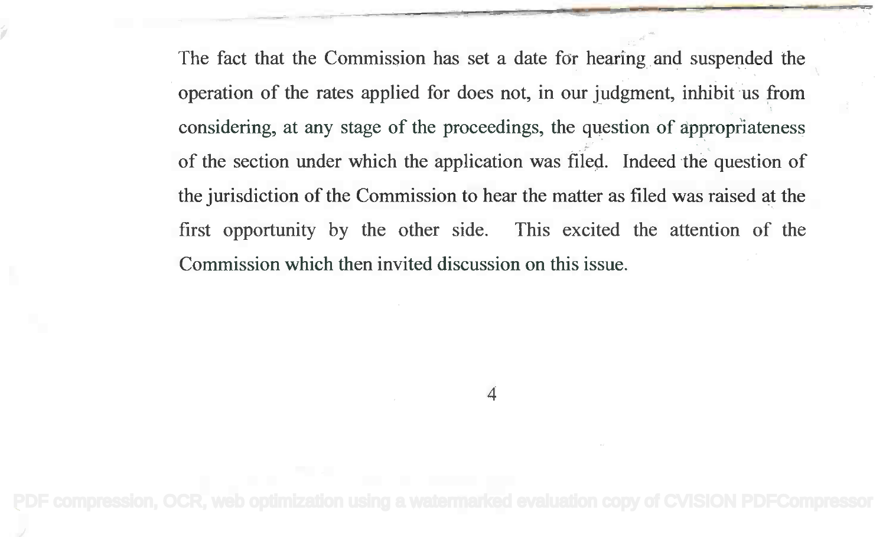The fact that the Commission has set a date for hearing and suspended the The fact that the Commission has set a date for hearing and suspended the , operation of the rates applied for does not, in our judgment, inhibit us from operation of the rates applied for does not, in our judgment, inhibit us from considering, at any stage of the proceedings, the question of appropriateness considering, at any stage of the proceedings, the question of appropriateness of the section under which the application was filed. Indeed the question of of the section under which the application was filed. Indeed the question of the jurisdiction of the Commission to hear the matter as filed was raised at the the jurisdiction of the Commission to hear the matter as filed was raised at the first opportunity by the other side. This excited the attention of the first opportunity by the other side. This excited the attention of the Commission which then invited discussion on this issue. Commission which then invited discussion on this issue.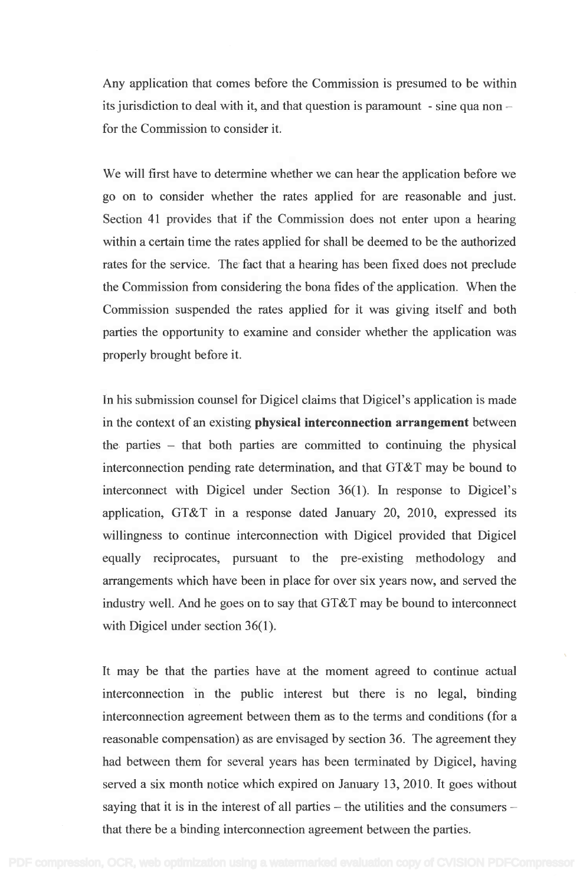Any application that comes before the Commission is presumed to be within Any application that comes before the Commission is presumed to be within its jurisdiction to deal with it, and that question is paramount  $\,$  - sine qua non  $$ for the Commission to consider it. for the Commission to consider it.

We will first have to determine whether we can hear the application before we We will first have to determine whether we can hear the application before we go on to consider whether the rates applied for are reasonable and just. go on to consider whether the rates applied for are reasonable and just. Section 41 provides that if the Commission does not enter upon a hearing Section **41** provides that if the Commission does not enter upon a hearing within a certain time the rates applied for shall be deemed to be the authorized within a certain time the rates applied for shall be deemed to be the authorized rates for the service. The fact that a hearing has been fixed does not preclude the Commission from considering the bona fides of the application. When the the Commission from considering the bona fides of the application. When the Commission suspended the rates applied for it was giving itself and both Commission suspended the rates applied for it was giving itself and both parties the opportunity to examine and consider whether the application was parties the opportunity to examine and consider whether the application was properly brought before it. properly brought before it.

In his submission counsel for Digicel claims that Digicel's application is made In his submission counsel for Digicel claims that Digicel's application is made in the context of an existing physical interconnection arrangement between in the context of an existing **physical interconnection arrangement** between the parties that both parties are committed to continuing the physical the parties - that both parties are committed to continuing the physical interconnection pending rate determination, and that GT&T may be bound to interconnection pending rate determination, and that GT&T may be bound to interconnect with Digicel under Section 36(1). In response to Digicel's interconnect with Digicel under Section 36(1). In response to Digicel's application, GT&T in a response dated January 20, 2010, expressed its application, GT&T in a response dated January 20, 2010, expressed its willingness to continue interconnection with Digicel provided that Digicel willingness to continue interconnection with Digicel provided that Digicel equally reciprocates, pursuant to the pre-existing methodology and equally reciprocates, pursuant to the pre-existing methodology and arrangements which have been in place for over six years now, and served the arrangements which have been in place for over six years now, and served the industry well. And he goes on to say that GT&T may be bound to interconnect industry well. And he goes on to say that GT&T may be bound to interconnect with Digicel under section 36(1). with Digicel under section 36(1).

It may be that the parties have at the moment agreed to continue actual It may be that the parties have at the moment agreed to continue actual interconnection in the public interest but there is no legal, binding interconnection in the public interest but there is no legal, binding interconnection agreement between them as to the terms and conditions (for a interconnection agreement between them as to the terms and conditions (for a reasonable compensation) as are envisaged by section 36. The agreement they reasonable compensation) as are envisaged by section 36. The agreement they had between them for several years has been terminated by Digicel, having had between them for several years has been terminated by Digicel, having served a six month notice which expired on January 13, 2010. It goes without served a six month notice which expired on January 13,2010. It goes without saying that it is in the interest of all parties – the utilities and the consumers – that there be a binding interconnection agreement between the parties. that there be a binding interconnection agreement between the parties.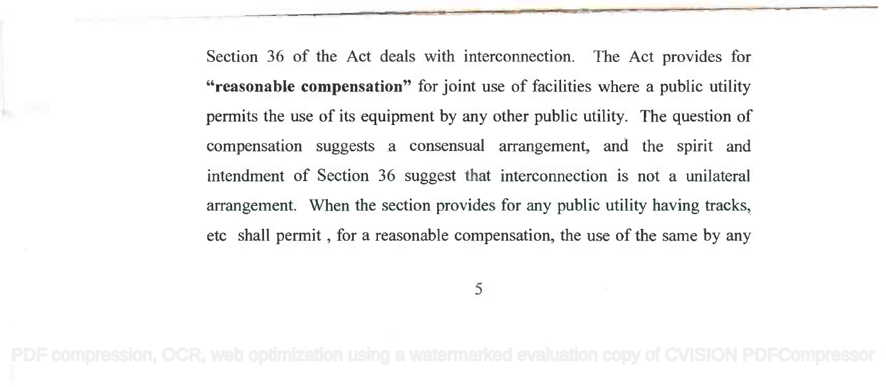Section 36 of the Act deals with interconnection. The Act provides for "reasonable compensation" for joint use of facilities where a public utility **"reasonable compensation"** for joint use of facilities where a public utility permits the use of its equipment by any other public utility. The question of permits the use of its equipment by any other public utility. The question of compensation suggests a consensual arrangement, and the spirit and intendment of Section 36 suggest that interconnection is not a unilateral intendment of Section 36 suggest that interconnection is not a unilateral arrangement. When the section provides for any public utility having tracks, arrangement. When the section provides for any public utility having tracks, etc shall permit , for a reasonable compensation, the use of the same by any etc shall permit, for a reasonable compensation, the use of the same by any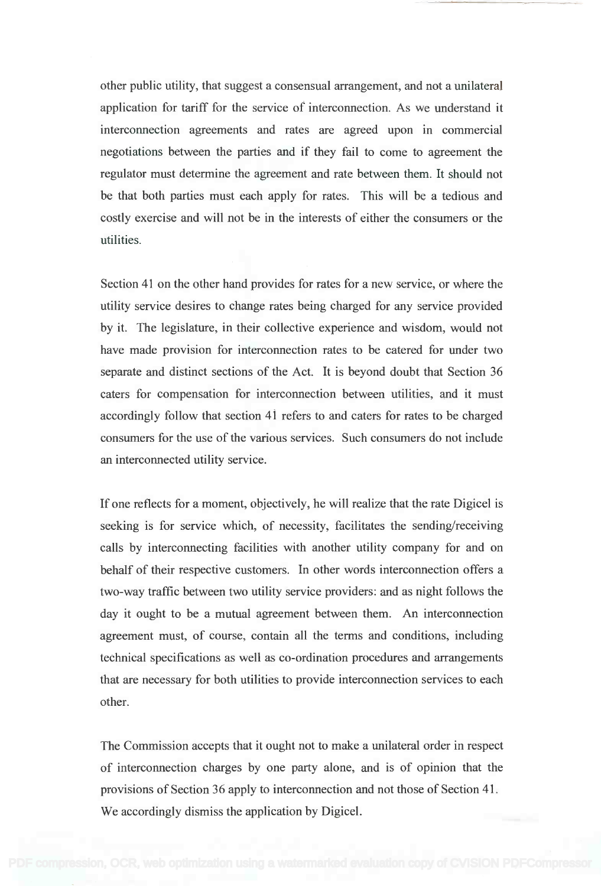other public utility, that suggest a consensual arrangement, and not a unilateral application for tariff for the service of interconnection. As we understand it application for tariff for the service of interconnection. As we understand it interconnection agreements and rates are agreed upon in commercial interconnection agreements and rates are agreed upon in commercial negotiations between the parties and if they fail to come to agreement the negotiations between the parties and if they fail to come to agreement the regulator must determine the agreement and rate between them. It should not be that both parties must each apply for rates. This will be a tedious and be that both parties must each apply for rates. This will be a tedious and costly exercise and will not be in the interests of either the consumers or the costly exercise and will not be in the interests of either the consumers or the utilities. utilities.

Section 41 on the other hand provides for rates for a new service, or where the Section 41 on the other hand provides for rates for a new service, or where the utility service desires to change rates being charged for any service provided utility service desires to change rates being charged for any service provided by it. The legislature, in their collective experience and wisdom, would not have made provision for interconnection rates to be catered for under two have made provision for interconnection rates to be catered for under two separate and distinct sections of the Act. It is beyond doubt that Section 36 separate and distinct sections of the Act. It is beyond doubt that Section 36 caters for compensation for interconnection between utilities, and it must caters for compensation for interconnection between utilities, and it must accordingly follow that section 41 refers to and caters for rates to be charged accordingly follow that section 41 refers to and caters for rates to be charged consumers for the use of the various services. Such consumers do not include consumers for the use of the various services. Such consumers do not include an interconnected utility service. an interconnected utility service.

If one reflects for a moment, objectively, he will realize that the rate Digicel is If one reflects for a moment, objectively, he will realize that the rate Digicel is seeking is for service which, of necessity, facilitates the sending/receiving seeking is for service which, of necessity, facilitates the sending/receiving calls by interconnecting facilities with another utility company for and on calls by interconnecting facilities with another utility company for and on behalf of their respective customers. In other words interconnection offers a behalf of their respective customers. In other words interconnection offers a two-way traffic between two utility service providers: and as night follows the two-way traffic between two utility service providers: and as night follows the day it ought to be a mutual agreement between them. An interconnection day it ought to be a mutual agreement between them. An interconnection agreement must, of course, contain all the terms and conditions, including agreement must, of course, contain all the terms and conditions, including technical specifications as well as co-ordination procedures and arrangements technical specifications as well as co-ordination procedures and arrangements that are necessary for both utilities to provide interconnection services to each that are necessary for both utilities to provide interconnection services to each other. other.

The Commission accepts that it ought not to make a unilateral order in respect The Commission accepts that it ought not to make a unilateral order in respect of interconnection charges by one party alone, and is of opinion that the of interconnection charges by one party alone, and is of opinion that the provisions of Section 36 apply to interconnection and not those of Section 41. provisions of Section 36 apply to interconnection and not those of Section 41. We accordingly dismiss the application by Digicel. We accordingly dismiss the application by Digicel.